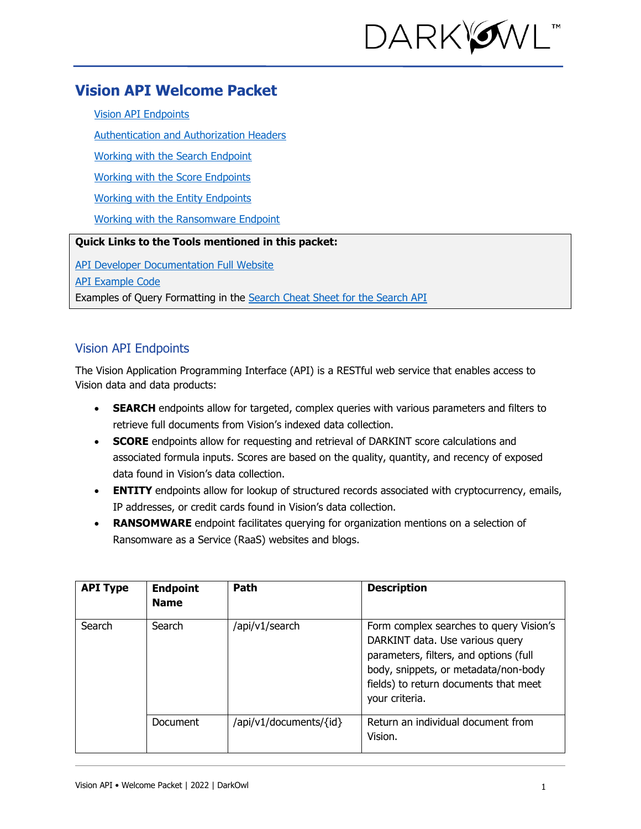

# **Vision API Welcome Packet**

[Vision API Endpoints](#page-3-0)

[Authentication and Authorization Headers](#page-0-0)

[Working with the Search Endpoint](#page-3-0)

[Working with the Score Endpoints](#page-6-0)

[Working with the Entity Endpoints](#page-7-0)

Working with the Ransomware Endpoint

## **Quick Links to the Tools mentioned in this packet:**

[API Developer Documentation Full Website](https://docs.api.darkowl.com/)

[API Example Code](https://www.darkowl.com/api-example-code)

Examples of Query Formatting in the [Search Cheat Sheet for the Search API](https://www.darkowl.com/api-resources/)

## <span id="page-0-0"></span>Vision API Endpoints

The Vision Application Programming Interface (API) is a RESTful web service that enables access to Vision data and data products:

- **SEARCH** endpoints allow for targeted, complex queries with various parameters and filters to retrieve full documents from Vision's indexed data collection.
- **SCORE** endpoints allow for requesting and retrieval of DARKINT score calculations and associated formula inputs. Scores are based on the quality, quantity, and recency of exposed data found in Vision's data collection.
- **ENTITY** endpoints allow for lookup of structured records associated with cryptocurrency, emails, IP addresses, or credit cards found in Vision's data collection.
- **RANSOMWARE** endpoint facilitates querying for organization mentions on a selection of Ransomware as a Service (RaaS) websites and blogs.

| <b>API Type</b> | <b>Endpoint</b><br><b>Name</b> | Path                   | <b>Description</b>                                                                                                                                                                                                      |
|-----------------|--------------------------------|------------------------|-------------------------------------------------------------------------------------------------------------------------------------------------------------------------------------------------------------------------|
| Search          | Search                         | /api/v1/search         | Form complex searches to query Vision's<br>DARKINT data. Use various query<br>parameters, filters, and options (full<br>body, snippets, or metadata/non-body<br>fields) to return documents that meet<br>your criteria. |
|                 | <b>Document</b>                | /api/v1/documents/{id} | Return an individual document from<br>Vision.                                                                                                                                                                           |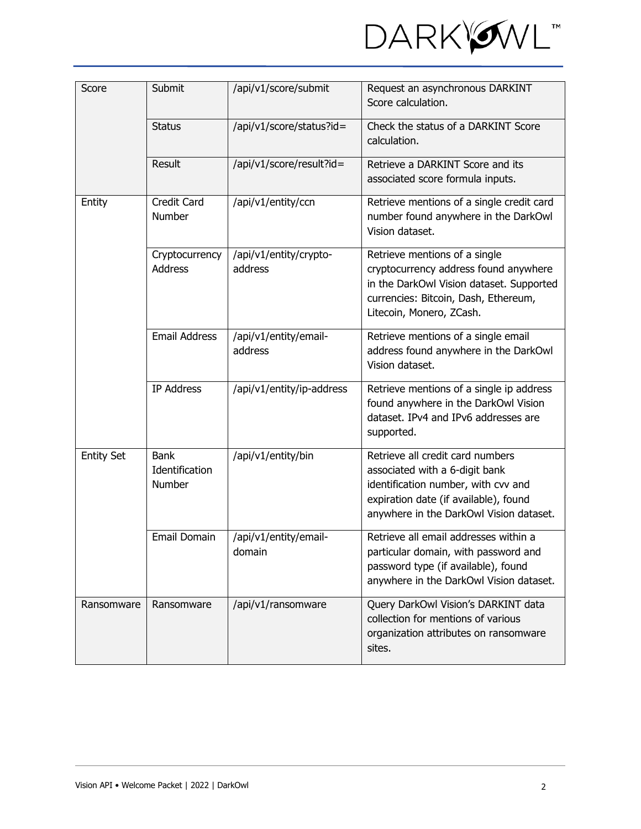

| Submit<br>Score   |                                         | /api/v1/score/submit              | Request an asynchronous DARKINT<br>Score calculation.                                                                                                                                         |
|-------------------|-----------------------------------------|-----------------------------------|-----------------------------------------------------------------------------------------------------------------------------------------------------------------------------------------------|
|                   | <b>Status</b>                           | /api/v1/score/status?id=          | Check the status of a DARKINT Score<br>calculation.                                                                                                                                           |
|                   | Result                                  | /api/v1/score/result?id=          | Retrieve a DARKINT Score and its<br>associated score formula inputs.                                                                                                                          |
| Entity            | Credit Card<br>Number                   | /api/v1/entity/ccn                | Retrieve mentions of a single credit card<br>number found anywhere in the DarkOwl<br>Vision dataset.                                                                                          |
|                   | Cryptocurrency<br><b>Address</b>        | /api/v1/entity/crypto-<br>address | Retrieve mentions of a single<br>cryptocurrency address found anywhere<br>in the DarkOwl Vision dataset. Supported<br>currencies: Bitcoin, Dash, Ethereum,<br>Litecoin, Monero, ZCash.        |
|                   | <b>Email Address</b>                    | /api/v1/entity/email-<br>address  | Retrieve mentions of a single email<br>address found anywhere in the DarkOwl<br>Vision dataset.                                                                                               |
|                   | <b>IP Address</b>                       | /api/v1/entity/ip-address         | Retrieve mentions of a single ip address<br>found anywhere in the DarkOwl Vision<br>dataset. IPv4 and IPv6 addresses are<br>supported.                                                        |
| <b>Entity Set</b> | <b>Bank</b><br>Identification<br>Number | /api/v1/entity/bin                | Retrieve all credit card numbers<br>associated with a 6-digit bank<br>identification number, with cvv and<br>expiration date (if available), found<br>anywhere in the DarkOwl Vision dataset. |
|                   | Email Domain                            | /api/v1/entity/email-<br>domain   | Retrieve all email addresses within a<br>particular domain, with password and<br>password type (if available), found<br>anywhere in the DarkOwl Vision dataset.                               |
| Ransomware        | Ransomware                              | /api/v1/ransomware                | Query DarkOwl Vision's DARKINT data<br>collection for mentions of various<br>organization attributes on ransomware<br>sites.                                                                  |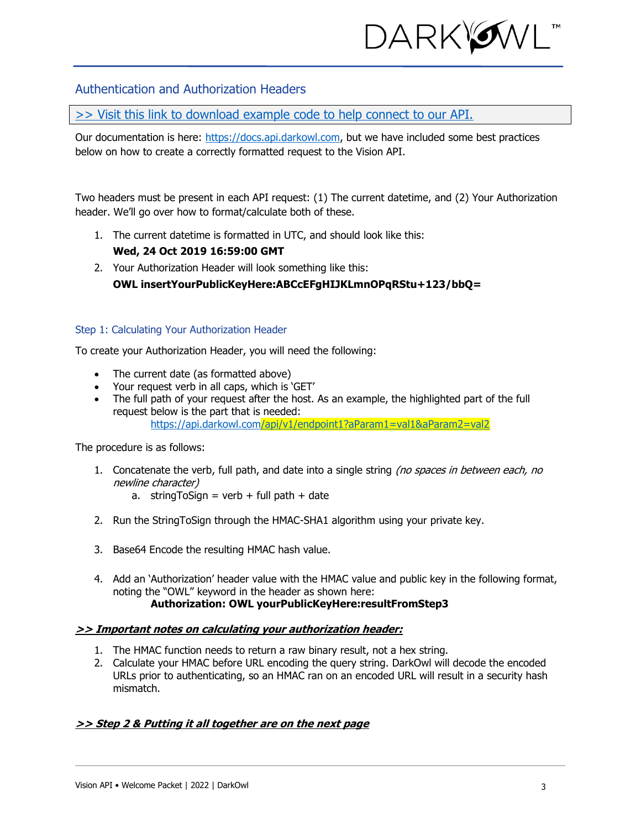

## Authentication and Authorization Headers

[>> Visit this link to download example code to help connect to our API.](https://www.darkowl.com/api-example-code)

Our documentation is here: [https://docs.api.darkowl.com,](https://docs.api.darkowl.com/) but we have included some best practices below on how to create a correctly formatted request to the Vision API.

Two headers must be present in each API request: (1) The current datetime, and (2) Your Authorization header. We'll go over how to format/calculate both of these.

- 1. The current datetime is formatted in UTC, and should look like this: **Wed, 24 Oct 2019 16:59:00 GMT**
- 2. Your Authorization Header will look something like this: **OWL insertYourPublicKeyHere:ABCcEFgHIJKLmnOPqRStu+123/bbQ=**

#### Step 1: Calculating Your Authorization Header

To create your Authorization Header, you will need the following:

- The current date (as formatted above)
- Your request verb in all caps, which is 'GET'
- The full path of your request after the host. As an example, the highlighted part of the full request below is the part that is needed: <https://api.darkowl.com/api/v1/endpoint1?aParam1=val1&aParam2=val2>

The procedure is as follows:

- 1. Concatenate the verb, full path, and date into a single string (no spaces in between each, no newline character)
	- a. stringToSign = verb + full path + date
- 2. Run the StringToSign through the HMAC-SHA1 algorithm using your private key.
- 3. Base64 Encode the resulting HMAC hash value.
- 4. Add an 'Authorization' header value with the HMAC value and public key in the following format, noting the "OWL" keyword in the header as shown here: **Authorization: OWL yourPublicKeyHere:resultFromStep3**

#### **>> Important notes on calculating your authorization header:**

- 1. The HMAC function needs to return a raw binary result, not a hex string.
- 2. Calculate your HMAC before URL encoding the query string. DarkOwl will decode the encoded URLs prior to authenticating, so an HMAC ran on an encoded URL will result in a security hash mismatch.

#### **>> Step 2 & Putting it all together are on the next page**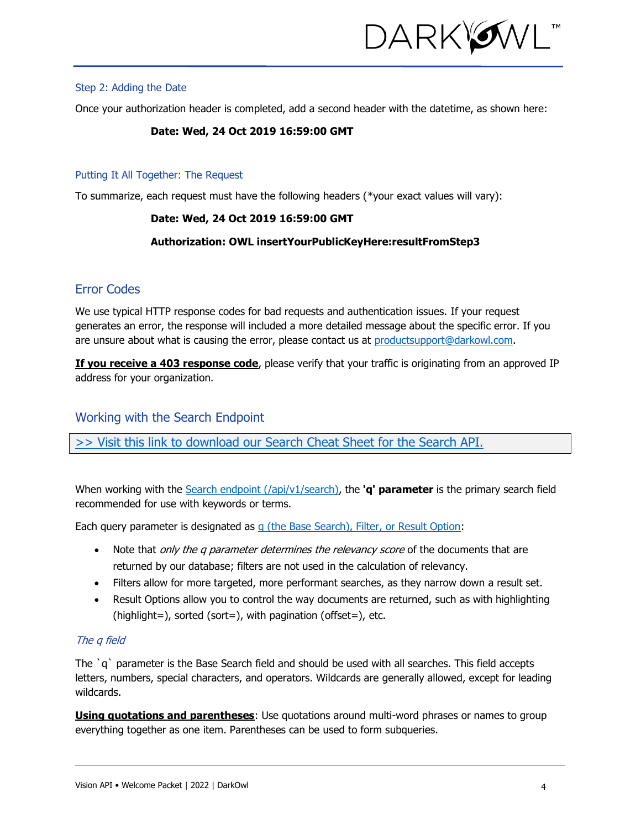<span id="page-3-0"></span>

#### Step 2: Adding the Date

Once your authorization header is completed, add a second header with the datetime, as shown here:

#### **Date: Wed, 24 Oct 2019 16:59:00 GMT**

### Putting It All Together: The Request

To summarize, each request must have the following headers (\*your exact values will vary):

## **Date: Wed, 24 Oct 2019 16:59:00 GMT**

### **Authorization: OWL insertYourPublicKeyHere:resultFromStep3**

## Error Codes

We use typical HTTP response codes for bad requests and authentication issues. If your request generates an error, the response will included a more detailed message about the specific error. If you are unsure about what is causing the error, please contact us at [productsupport@darkowl.com.](mailto:productsupport@darkowl.com)

**If you receive a 403 response code**, please verify that your traffic is originating from an approved IP address for your organization.

## Working with the Search Endpoint

[>> Visit this link to download our Search Cheat Sheet for the Search API.](https://www.darkowl.com/api-resources/) 

When working with the [Search endpoint](https://docs.api.darkowl.com/documentation#tag/Search) (/api/v1/search), the **'q' parameter** is the primary search field recommended for use with keywords or terms.

Each query parameter is designated as [q \(the Base Search\), Filter, or Result Option:](https://docs.api.darkowl.com/documentation#tag/Search)

- Note that *only the q parameter determines the relevancy score* of the documents that are returned by our database; filters are not used in the calculation of relevancy.
- Filters allow for more targeted, more performant searches, as they narrow down a result set.
- Result Options allow you to control the way documents are returned, such as with highlighting (highlight=), sorted (sort=), with pagination (offset=), etc.

## The q field

The `q` parameter is the Base Search field and should be used with all searches. This field accepts letters, numbers, special characters, and operators. Wildcards are generally allowed, except for leading wildcards.

**Using quotations and parentheses**: Use quotations around multi-word phrases or names to group everything together as one item. Parentheses can be used to form subqueries.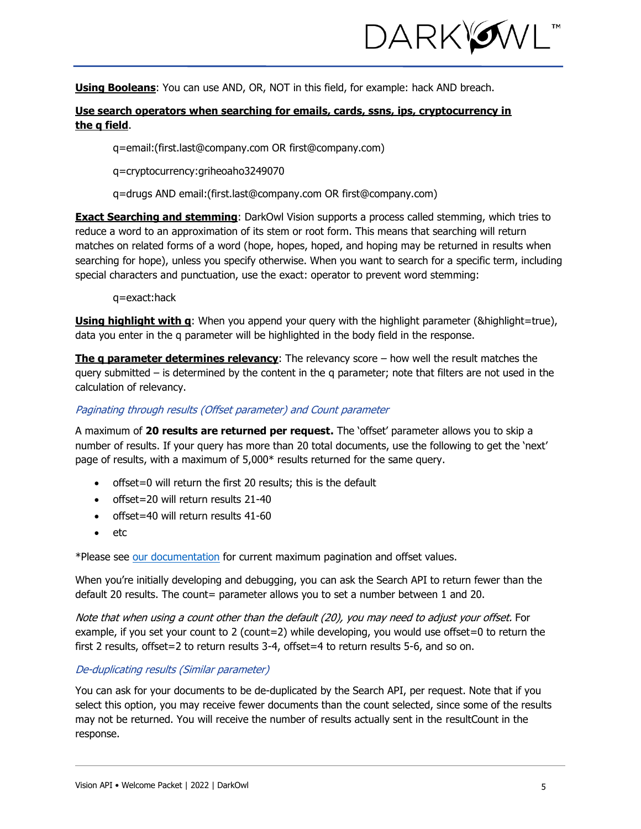

**Using Booleans**: You can use AND, OR, NOT in this field, for example: hack AND breach.

## **Use search operators when searching for emails, cards, ssns, ips, cryptocurrency in the q field**.

q=email:(first.last@company.com OR first@company.com)

q=cryptocurrency:griheoaho3249070

q=drugs AND email:(first.last@company.com OR first@company.com)

**Exact Searching and stemming**: DarkOwl Vision supports a process called stemming, which tries to reduce a word to an approximation of its stem or root form. This means that searching will return matches on related forms of a word (hope, hopes, hoped, and hoping may be returned in results when searching for hope), unless you specify otherwise. When you want to search for a specific term, including special characters and punctuation, use the exact: operator to prevent word stemming:

q=exact:hack

**Using highlight with q**: When you append your query with the highlight parameter (&highlight=true), data you enter in the q parameter will be highlighted in the body field in the response.

**The q parameter determines relevancy**: The relevancy score – how well the result matches the query submitted – is determined by the content in the q parameter; note that filters are not used in the calculation of relevancy.

## Paginating through results (Offset parameter) and Count parameter

A maximum of **20 results are returned per request.** The 'offset' parameter allows you to skip a number of results. If your query has more than 20 total documents, use the following to get the 'next' page of results, with a maximum of 5,000\* results returned for the same query.

- offset=0 will return the first 20 results; this is the default
- offset=20 will return results 21-40
- offset=40 will return results 41-60
- etc

\*Please see [our documentation](https://docs.api.darkowl.com/#tag/Search) for current maximum pagination and offset values.

When you're initially developing and debugging, you can ask the Search API to return fewer than the default 20 results. The count= parameter allows you to set a number between 1 and 20.

Note that when using a count other than the default (20), you may need to adjust your offset. For example, if you set your count to 2 (count=2) while developing, you would use offset=0 to return the first 2 results, offset=2 to return results 3-4, offset=4 to return results 5-6, and so on.

#### De-duplicating results (Similar parameter)

You can ask for your documents to be de-duplicated by the Search API, per request. Note that if you select this option, you may receive fewer documents than the count selected, since some of the results may not be returned. You will receive the number of results actually sent in the resultCount in the response.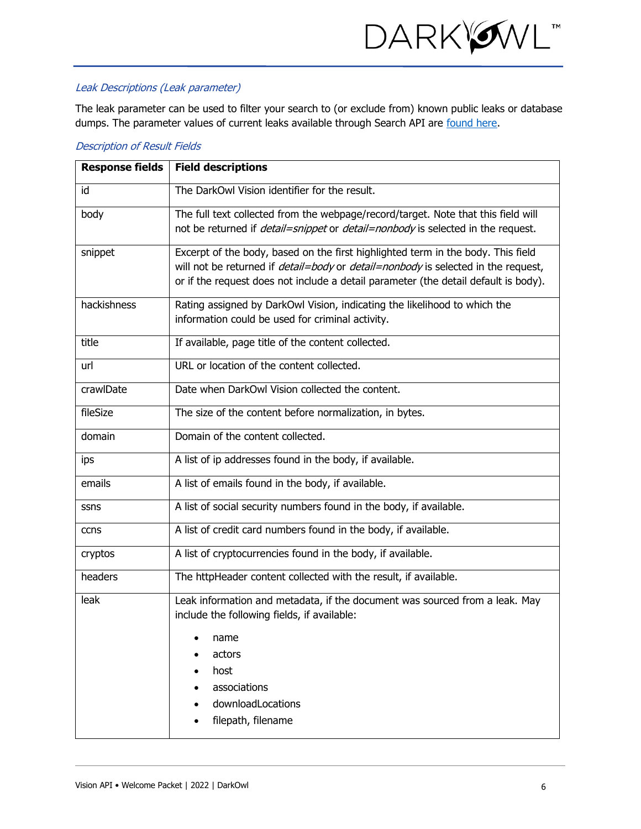

## Leak Descriptions (Leak parameter)

The leak parameter can be used to filter your search to (or exclude from) known public leaks or database dumps. The parameter values of current leaks available through Search API are [found here.](https://www.darkowl.com/api-values)

| <b>Description of Result Fields</b> |  |  |  |  |  |  |  |
|-------------------------------------|--|--|--|--|--|--|--|
|-------------------------------------|--|--|--|--|--|--|--|

| <b>Response fields</b> | <b>Field descriptions</b>                                                                                                                                                                                                                                                  |
|------------------------|----------------------------------------------------------------------------------------------------------------------------------------------------------------------------------------------------------------------------------------------------------------------------|
| id                     | The DarkOwl Vision identifier for the result.                                                                                                                                                                                                                              |
| body                   | The full text collected from the webpage/record/target. Note that this field will<br>not be returned if <i>detail=snippet</i> or <i>detail=nonbody</i> is selected in the request.                                                                                         |
| snippet                | Excerpt of the body, based on the first highlighted term in the body. This field<br>will not be returned if <i>detail=body</i> or <i>detail=nonbody</i> is selected in the request,<br>or if the request does not include a detail parameter (the detail default is body). |
| hackishness            | Rating assigned by DarkOwl Vision, indicating the likelihood to which the<br>information could be used for criminal activity.                                                                                                                                              |
| title                  | If available, page title of the content collected.                                                                                                                                                                                                                         |
| url                    | URL or location of the content collected.                                                                                                                                                                                                                                  |
| crawlDate              | Date when DarkOwl Vision collected the content.                                                                                                                                                                                                                            |
| fileSize               | The size of the content before normalization, in bytes.                                                                                                                                                                                                                    |
| domain                 | Domain of the content collected.                                                                                                                                                                                                                                           |
| ips                    | A list of ip addresses found in the body, if available.                                                                                                                                                                                                                    |
| emails                 | A list of emails found in the body, if available.                                                                                                                                                                                                                          |
| ssns                   | A list of social security numbers found in the body, if available.                                                                                                                                                                                                         |
| ccns                   | A list of credit card numbers found in the body, if available.                                                                                                                                                                                                             |
| cryptos                | A list of cryptocurrencies found in the body, if available.                                                                                                                                                                                                                |
| headers                | The httpHeader content collected with the result, if available.                                                                                                                                                                                                            |
| leak                   | Leak information and metadata, if the document was sourced from a leak. May<br>include the following fields, if available:                                                                                                                                                 |
|                        | name                                                                                                                                                                                                                                                                       |
|                        | actors<br>host                                                                                                                                                                                                                                                             |
|                        | associations                                                                                                                                                                                                                                                               |
|                        | downloadLocations                                                                                                                                                                                                                                                          |
|                        | filepath, filename                                                                                                                                                                                                                                                         |
|                        |                                                                                                                                                                                                                                                                            |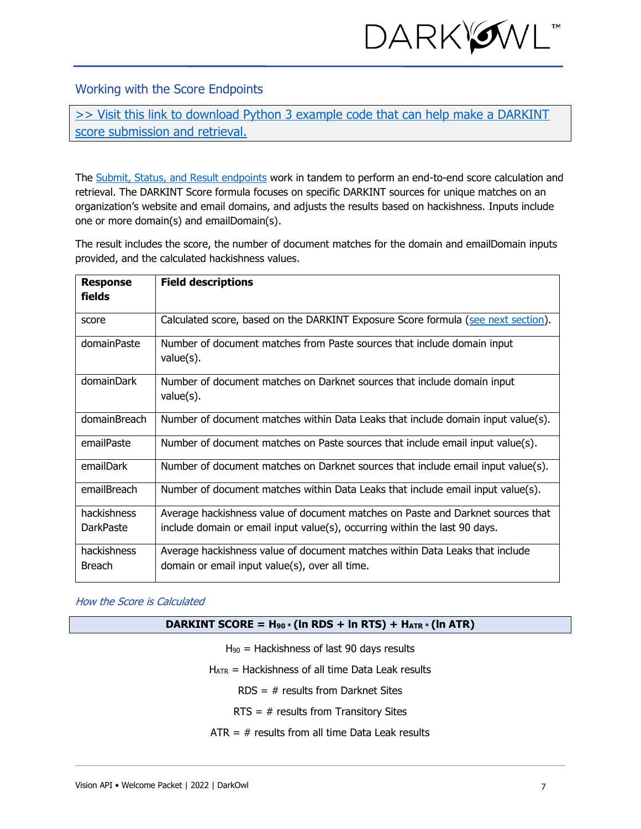

<span id="page-6-0"></span>Working with the Score Endpoints

[>> Visit this link to download Python 3 example code that can help make a DARKINT](https://www.darkowl.com/api-example-code)  [score submission and retrieval.](https://www.darkowl.com/api-example-code)

The [Submit, Status, and Result endpoints](https://docs.api.darkowl.com/documentation#tag/Score) work in tandem to perform an end-to-end score calculation and retrieval. The DARKINT Score formula focuses on specific DARKINT sources for unique matches on an organization's website and email domains, and adjusts the results based on hackishness. Inputs include one or more domain(s) and emailDomain(s).

The result includes the score, the number of document matches for the domain and emailDomain inputs provided, and the calculated hackishness values.

| <b>Response</b><br><b>fields</b> | <b>Field descriptions</b>                                                               |
|----------------------------------|-----------------------------------------------------------------------------------------|
| score                            | Calculated score, based on the DARKINT Exposure Score formula (see next section).       |
| domainPaste                      | Number of document matches from Paste sources that include domain input<br>$value(s)$ . |
| domainDark                       | Number of document matches on Darknet sources that include domain input<br>$value(s)$ . |
| domainBreach                     | Number of document matches within Data Leaks that include domain input value(s).        |
| emailPaste                       | Number of document matches on Paste sources that include email input value(s).          |
| emailDark                        | Number of document matches on Darknet sources that include email input value(s).        |
| emailBreach                      | Number of document matches within Data Leaks that include email input value(s).         |
| hackishness                      | Average hackishness value of document matches on Paste and Darknet sources that         |
| <b>DarkPaste</b>                 | include domain or email input value(s), occurring within the last 90 days.              |
| hackishness                      | Average hackishness value of document matches within Data Leaks that include            |
| <b>Breach</b>                    | domain or email input value(s), over all time.                                          |

### <span id="page-6-1"></span>How the Score is Calculated

#### **DARKINT SCORE = H<sup>90</sup> \* (ln RDS + ln RTS) + HATR \* (ln ATR)**

- H<sup>90</sup> = Hackishness of last 90 days results
- $H_{\text{ATR}}$  = Hackishness of all time Data Leak results
	- RDS = # results from Darknet Sites
	- RTS =  $#$  results from Transitory Sites
- $ATR = #$  results from all time Data Leak results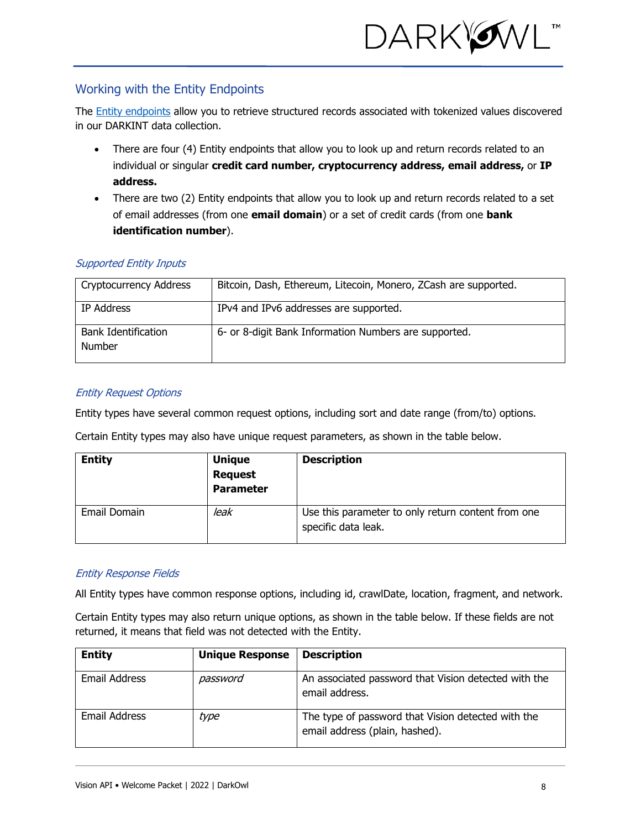

## <span id="page-7-0"></span>Working with the Entity Endpoints

The [Entity endpoints](https://docs.api.darkowl.com/#tag/Entity) allow you to retrieve structured records associated with tokenized values discovered in our DARKINT data collection.

- There are four (4) Entity endpoints that allow you to look up and return records related to an individual or singular **credit card number, cryptocurrency address, email address,** or **IP address.**
- There are two (2) Entity endpoints that allow you to look up and return records related to a set of email addresses (from one **email domain**) or a set of credit cards (from one **bank identification number**).

## Supported Entity Inputs

| <b>Cryptocurrency Address</b>        | Bitcoin, Dash, Ethereum, Litecoin, Monero, ZCash are supported. |
|--------------------------------------|-----------------------------------------------------------------|
| IP Address                           | IPv4 and IPv6 addresses are supported.                          |
| <b>Bank Identification</b><br>Number | 6- or 8-digit Bank Information Numbers are supported.           |

## Entity Request Options

Entity types have several common request options, including sort and date range (from/to) options.

Certain Entity types may also have unique request parameters, as shown in the table below.

| <b>Entity</b> | <b>Unique</b><br><b>Request</b><br><b>Parameter</b> | <b>Description</b>                                                        |
|---------------|-----------------------------------------------------|---------------------------------------------------------------------------|
| Email Domain  | leak                                                | Use this parameter to only return content from one<br>specific data leak. |

## Entity Response Fields

All Entity types have common response options, including id, crawlDate, location, fragment, and network.

Certain Entity types may also return unique options, as shown in the table below. If these fields are not returned, it means that field was not detected with the Entity.

| <b>Entity</b> | <b>Unique Response</b> | <b>Description</b>                                                                   |
|---------------|------------------------|--------------------------------------------------------------------------------------|
| Email Address | password               | An associated password that Vision detected with the<br>email address.               |
| Email Address | type                   | The type of password that Vision detected with the<br>email address (plain, hashed). |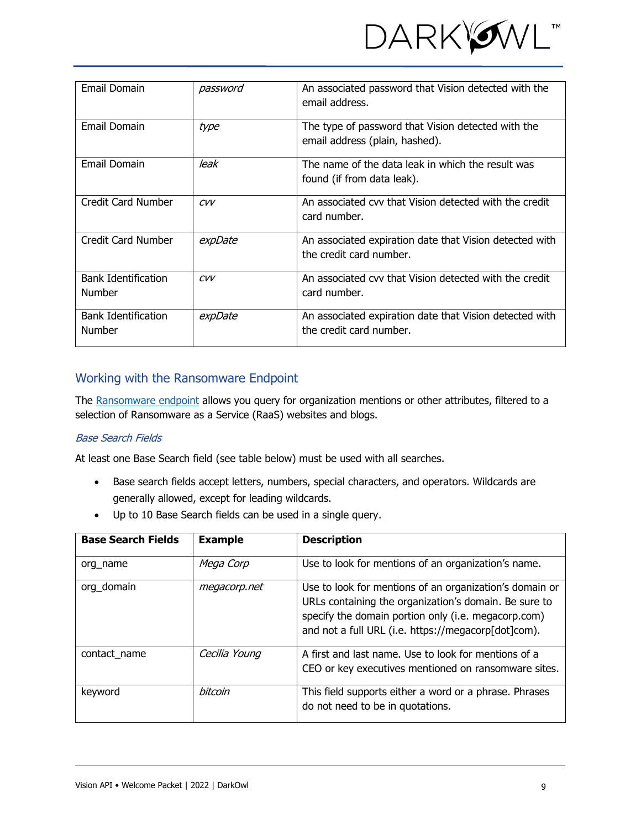

| Email Domain                                | password | An associated password that Vision detected with the<br>email address.               |
|---------------------------------------------|----------|--------------------------------------------------------------------------------------|
| Email Domain                                | type     | The type of password that Vision detected with the<br>email address (plain, hashed). |
| Email Domain                                | leak     | The name of the data leak in which the result was<br>found (if from data leak).      |
| Credit Card Number                          | CVV      | An associated cvy that Vision detected with the credit<br>card number.               |
| Credit Card Number                          | expDate  | An associated expiration date that Vision detected with<br>the credit card number.   |
| <b>Bank Identification</b><br><b>Number</b> | CVV      | An associated cvy that Vision detected with the credit<br>card number.               |
| <b>Bank Identification</b><br><b>Number</b> | expDate  | An associated expiration date that Vision detected with<br>the credit card number.   |

## Working with the Ransomware Endpoint

The [Ransomware](https://docs.api.darkowl.com/#tag/Ransomware) endpoint allows you query for organization mentions or other attributes, filtered to a selection of Ransomware as a Service (RaaS) websites and blogs.

## Base Search Fields

At least one Base Search field (see table below) must be used with all searches.

- Base search fields accept letters, numbers, special characters, and operators. Wildcards are generally allowed, except for leading wildcards.
- Up to 10 Base Search fields can be used in a single query.

| <b>Base Search Fields</b> | <b>Example</b> | <b>Description</b>                                                                                                                                                                                                             |
|---------------------------|----------------|--------------------------------------------------------------------------------------------------------------------------------------------------------------------------------------------------------------------------------|
| org name                  | Mega Corp      | Use to look for mentions of an organization's name.                                                                                                                                                                            |
| org domain                | megacorp.net   | Use to look for mentions of an organization's domain or<br>URLs containing the organization's domain. Be sure to<br>specify the domain portion only (i.e. megacorp.com)<br>and not a full URL (i.e. https://megacorp[dot]com). |
| contact name              | Cecilia Young  | A first and last name. Use to look for mentions of a<br>CEO or key executives mentioned on ransomware sites.                                                                                                                   |
| keyword                   | <b>bitcoin</b> | This field supports either a word or a phrase. Phrases<br>do not need to be in quotations.                                                                                                                                     |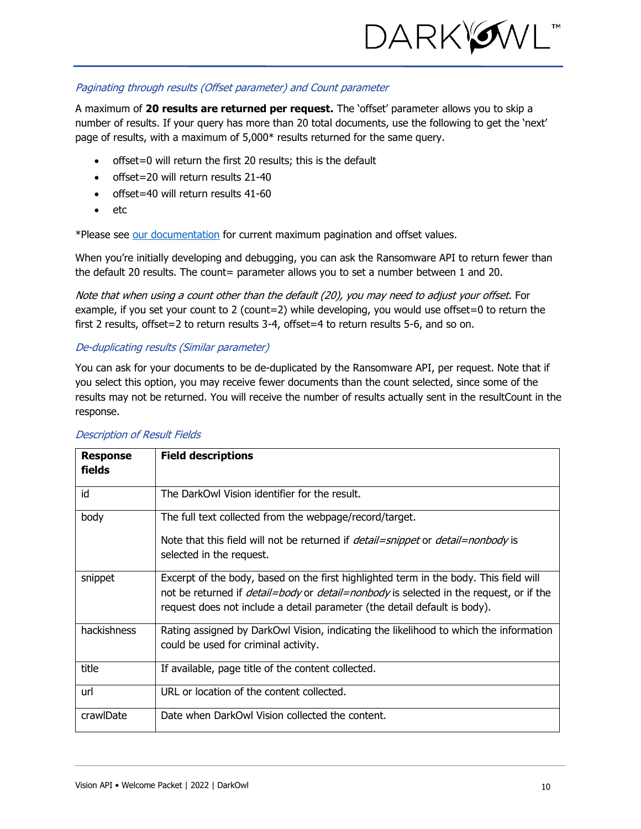

#### Paginating through results (Offset parameter) and Count parameter

A maximum of **20 results are returned per request.** The 'offset' parameter allows you to skip a number of results. If your query has more than 20 total documents, use the following to get the 'next' page of results, with a maximum of 5,000\* results returned for the same query.

- offset=0 will return the first 20 results; this is the default
- offset=20 will return results 21-40
- offset=40 will return results 41-60
- etc

\*Please see [our documentation](https://docs.api.darkowl.com/#tag/Ransomware) for current maximum pagination and offset values.

When you're initially developing and debugging, you can ask the Ransomware API to return fewer than the default 20 results. The count= parameter allows you to set a number between 1 and 20.

Note that when using a count other than the default (20), you may need to adjust your offset. For example, if you set your count to 2 (count=2) while developing, you would use offset=0 to return the first 2 results, offset=2 to return results 3-4, offset=4 to return results 5-6, and so on.

#### De-duplicating results (Similar parameter)

You can ask for your documents to be de-duplicated by the Ransomware API, per request. Note that if you select this option, you may receive fewer documents than the count selected, since some of the results may not be returned. You will receive the number of results actually sent in the resultCount in the response.

| <b>Response</b><br>fields | <b>Field descriptions</b>                                                                                                                                                                                                                                                  |
|---------------------------|----------------------------------------------------------------------------------------------------------------------------------------------------------------------------------------------------------------------------------------------------------------------------|
| id                        | The DarkOwl Vision identifier for the result.                                                                                                                                                                                                                              |
| body                      | The full text collected from the webpage/record/target.<br>Note that this field will not be returned if <i>detail=snippet</i> or <i>detail=nonbody</i> is<br>selected in the request.                                                                                      |
| snippet                   | Excerpt of the body, based on the first highlighted term in the body. This field will<br>not be returned if <i>detail=body</i> or <i>detail=nonbody</i> is selected in the request, or if the<br>request does not include a detail parameter (the detail default is body). |
| hackishness               | Rating assigned by DarkOwl Vision, indicating the likelihood to which the information<br>could be used for criminal activity.                                                                                                                                              |
| title                     | If available, page title of the content collected.                                                                                                                                                                                                                         |
| url                       | URL or location of the content collected.                                                                                                                                                                                                                                  |
| crawlDate                 | Date when DarkOwl Vision collected the content.                                                                                                                                                                                                                            |

#### Description of Result Fields